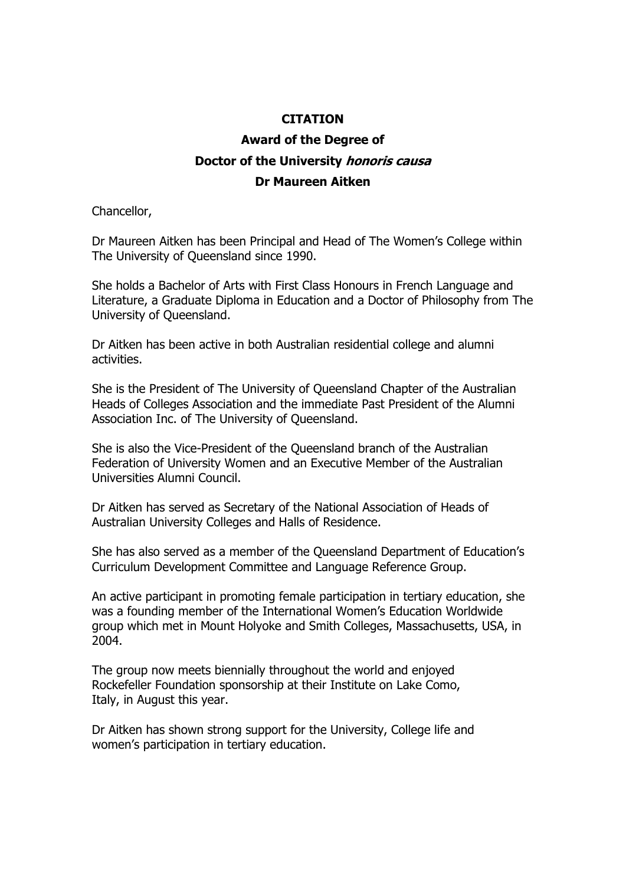## **CITATION**

## **Award of the Degree of Doctor of the University honoris causa Dr Maureen Aitken**

Chancellor,

Dr Maureen Aitken has been Principal and Head of The Women's College within The University of Queensland since 1990.

She holds a Bachelor of Arts with First Class Honours in French Language and Literature, a Graduate Diploma in Education and a Doctor of Philosophy from The University of Queensland.

Dr Aitken has been active in both Australian residential college and alumni activities.

She is the President of The University of Queensland Chapter of the Australian Heads of Colleges Association and the immediate Past President of the Alumni Association Inc. of The University of Queensland.

She is also the Vice-President of the Queensland branch of the Australian Federation of University Women and an Executive Member of the Australian Universities Alumni Council.

Dr Aitken has served as Secretary of the National Association of Heads of Australian University Colleges and Halls of Residence.

She has also served as a member of the Queensland Department of Education's Curriculum Development Committee and Language Reference Group.

An active participant in promoting female participation in tertiary education, she was a founding member of the International Women's Education Worldwide group which met in Mount Holyoke and Smith Colleges, Massachusetts, USA, in 2004.

The group now meets biennially throughout the world and enjoyed Rockefeller Foundation sponsorship at their Institute on Lake Como, Italy, in August this year.

Dr Aitken has shown strong support for the University, College life and women's participation in tertiary education.